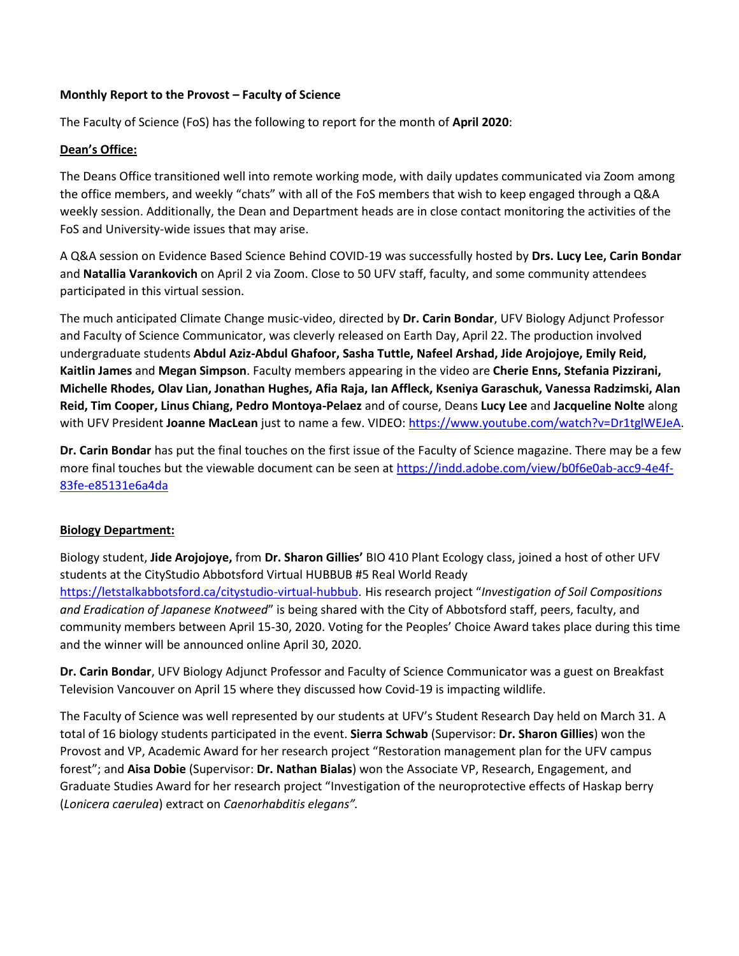#### **Monthly Report to the Provost – Faculty of Science**

The Faculty of Science (FoS) has the following to report for the month of **April 2020**:

#### **Dean's Office:**

The Deans Office transitioned well into remote working mode, with daily updates communicated via Zoom among the office members, and weekly "chats" with all of the FoS members that wish to keep engaged through a Q&A weekly session. Additionally, the Dean and Department heads are in close contact monitoring the activities of the FoS and University-wide issues that may arise.

A Q&A session on Evidence Based Science Behind COVID-19 was successfully hosted by **Drs. Lucy Lee, Carin Bondar**  and **Natallia Varankovich** on April 2 via Zoom. Close to 50 UFV staff, faculty, and some community attendees participated in this virtual session.

The much anticipated Climate Change music-video, directed by **Dr. Carin Bondar**, UFV Biology Adjunct Professor and Faculty of Science Communicator, was cleverly released on Earth Day, April 22. The production involved undergraduate students **Abdul Aziz-Abdul Ghafoor, Sasha Tuttle, Nafeel Arshad, Jide Arojojoye, Emily Reid, Kaitlin James** and **Megan Simpson**. Faculty members appearing in the video are **Cherie Enns, Stefania Pizzirani, Michelle Rhodes, Olav Lian, Jonathan Hughes, Afia Raja, Ian Affleck, Kseniya Garaschuk, Vanessa Radzimski, Alan Reid, Tim Cooper, Linus Chiang, Pedro Montoya-Pelaez** and of course, Deans **Lucy Lee** and **Jacqueline Nolte** along with UFV President **Joanne MacLean** just to name a few. VIDEO[: https://www.youtube.com/watch?v=Dr1tglWEJeA.](https://www.youtube.com/watch?v=Dr1tglWEJeA)

**Dr. Carin Bondar** has put the final touches on the first issue of the Faculty of Science magazine. There may be a few more final touches but the viewable document can be seen a[t https://indd.adobe.com/view/b0f6e0ab-acc9-4e4f-](https://indd.adobe.com/view/b0f6e0ab-acc9-4e4f-83fe-e85131e6a4da)[83fe-e85131e6a4da](https://indd.adobe.com/view/b0f6e0ab-acc9-4e4f-83fe-e85131e6a4da)

## **Biology Department:**

Biology student, **Jide Arojojoye,** from **Dr. Sharon Gillies'** BIO 410 Plant Ecology class, joined a host of other UFV students at the CityStudio Abbotsford Virtual HUBBUB #5 Real World Ready [https://letstalkabbotsford.ca/citystudio-virtual-hubbub.](https://letstalkabbotsford.ca/citystudio-virtual-hubbub) His research project "*Investigation of Soil Compositions and Eradication of Japanese Knotweed*" is being shared with the City of Abbotsford staff, peers, faculty, and community members between April 15-30, 2020. Voting for the Peoples' Choice Award takes place during this time and the winner will be announced online April 30, 2020.

**Dr. Carin Bondar**, UFV Biology Adjunct Professor and Faculty of Science Communicator was a guest on Breakfast Television Vancouver on April 15 where they discussed how Covid-19 is impacting wildlife.

The Faculty of Science was well represented by our students at UFV's Student Research Day held on March 31. A total of 16 biology students participated in the event. **Sierra Schwab** (Supervisor: **Dr. Sharon Gillies**) won the Provost and VP, Academic Award for her research project "Restoration management plan for the UFV campus forest"; and **Aisa Dobie** (Supervisor: **Dr. Nathan Bialas**) won the Associate VP, Research, Engagement, and Graduate Studies Award for her research project "Investigation of the neuroprotective effects of Haskap berry (*Lonicera caerulea*) extract on *Caenorhabditis elegans".*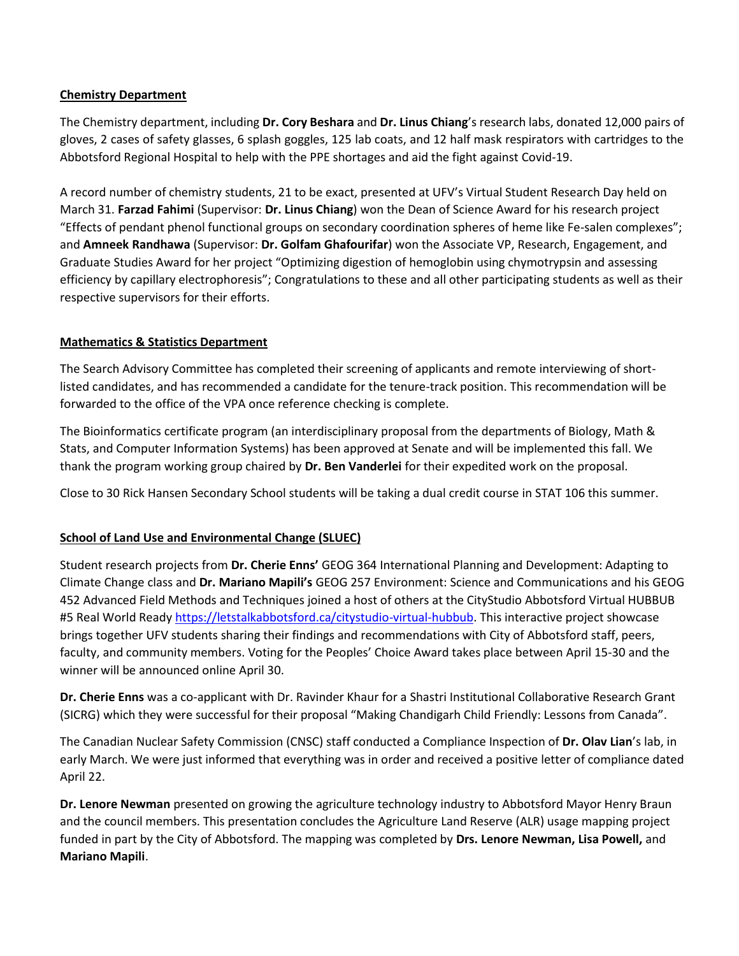#### **Chemistry Department**

The Chemistry department, including **Dr. Cory Beshara** and **Dr. Linus Chiang**'s research labs, donated 12,000 pairs of gloves, 2 cases of safety glasses, 6 splash goggles, 125 lab coats, and 12 half mask respirators with cartridges to the Abbotsford Regional Hospital to help with the PPE shortages and aid the fight against Covid-19.

A record number of chemistry students, 21 to be exact, presented at UFV's Virtual Student Research Day held on March 31. **Farzad Fahimi** (Supervisor: **Dr. Linus Chiang**) won the Dean of Science Award for his research project "Effects of pendant phenol functional groups on secondary coordination spheres of heme like Fe-salen complexes"; and **Amneek Randhawa** (Supervisor: **Dr. Golfam Ghafourifar**) won the Associate VP, Research, Engagement, and Graduate Studies Award for her project "Optimizing digestion of hemoglobin using chymotrypsin and assessing efficiency by capillary electrophoresis"; Congratulations to these and all other participating students as well as their respective supervisors for their efforts.

# **Mathematics & Statistics Department**

The Search Advisory Committee has completed their screening of applicants and remote interviewing of shortlisted candidates, and has recommended a candidate for the tenure-track position. This recommendation will be forwarded to the office of the VPA once reference checking is complete.

The Bioinformatics certificate program (an interdisciplinary proposal from the departments of Biology, Math & Stats, and Computer Information Systems) has been approved at Senate and will be implemented this fall. We thank the program working group chaired by **Dr. Ben Vanderlei** for their expedited work on the proposal.

Close to 30 Rick Hansen Secondary School students will be taking a dual credit course in STAT 106 this summer.

## **School of Land Use and Environmental Change (SLUEC)**

Student research projects from **Dr. Cherie Enns'** GEOG 364 International Planning and Development: Adapting to Climate Change class and **Dr. Mariano Mapili's** GEOG 257 Environment: Science and Communications and his GEOG 452 Advanced Field Methods and Techniques joined a host of others at the CityStudio Abbotsford Virtual HUBBUB #5 Real World Ready [https://letstalkabbotsford.ca/citystudio-virtual-hubbub.](https://letstalkabbotsford.ca/citystudio-virtual-hubbub) This interactive project showcase brings together UFV students sharing their findings and recommendations with City of Abbotsford staff, peers, faculty, and community members. Voting for the Peoples' Choice Award takes place between April 15-30 and the winner will be announced online April 30.

**Dr. Cherie Enns** was a co-applicant with Dr. Ravinder Khaur for a Shastri Institutional Collaborative Research Grant (SICRG) which they were successful for their proposal "Making Chandigarh Child Friendly: Lessons from Canada".

The Canadian Nuclear Safety Commission (CNSC) staff conducted a Compliance Inspection of **Dr. Olav Lian**'s lab, in early March. We were just informed that everything was in order and received a positive letter of compliance dated April 22.

**Dr. Lenore Newman** presented on growing the agriculture technology industry to Abbotsford Mayor Henry Braun and the council members. This presentation concludes the Agriculture Land Reserve (ALR) usage mapping project funded in part by the City of Abbotsford. The mapping was completed by **Drs. Lenore Newman, Lisa Powell,** and **Mariano Mapili**.